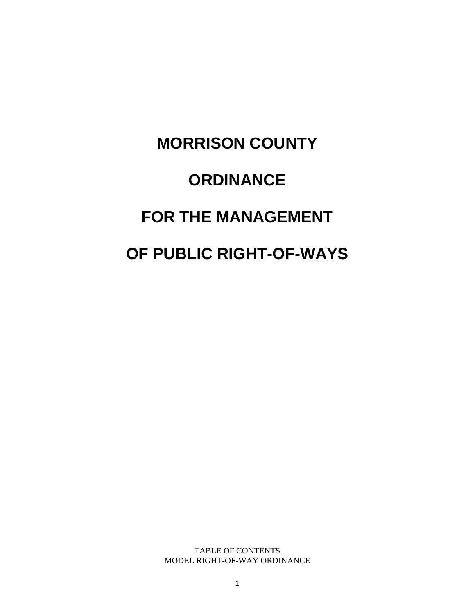# **MORRISON COUNTY ORDINANCE FOR THE MANAGEMENT OF PUBLIC RIGHT-OF-WAYS**

TABLE OF CONTENTS MODEL RIGHT-OF-WAY ORDINANCE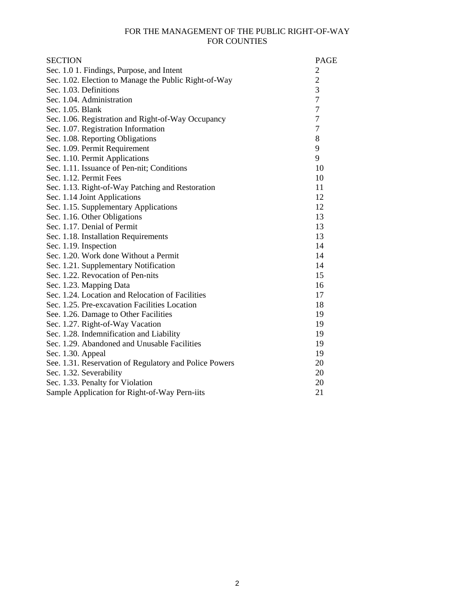#### FOR THE MANAGEMENT OF THE PUBLIC RIGHT-OF-WAY FOR COUNTIES

| <b>SECTION</b>                                         | <b>PAGE</b>    |
|--------------------------------------------------------|----------------|
| Sec. 1.0 1. Findings, Purpose, and Intent              | $\overline{c}$ |
| Sec. 1.02. Election to Manage the Public Right-of-Way  | $\overline{2}$ |
| Sec. 1.03. Definitions                                 | 3              |
| Sec. 1.04. Administration                              | $\overline{7}$ |
| Sec. 1.05. Blank                                       | $\tau$         |
| Sec. 1.06. Registration and Right-of-Way Occupancy     | 7              |
| Sec. 1.07. Registration Information                    | $\overline{7}$ |
| Sec. 1.08. Reporting Obligations                       | 8              |
| Sec. 1.09. Permit Requirement                          | 9              |
| Sec. 1.10. Permit Applications                         | 9              |
| Sec. 1.11. Issuance of Pen-nit; Conditions             | 10             |
| Sec. 1.12. Permit Fees                                 | 10             |
| Sec. 1.13. Right-of-Way Patching and Restoration       | 11             |
| Sec. 1.14 Joint Applications                           | 12             |
| Sec. 1.15. Supplementary Applications                  | 12             |
| Sec. 1.16. Other Obligations                           | 13             |
| Sec. 1.17. Denial of Permit                            | 13             |
| Sec. 1.18. Installation Requirements                   | 13             |
| Sec. 1.19. Inspection                                  | 14             |
| Sec. 1.20. Work done Without a Permit                  | 14             |
| Sec. 1.21. Supplementary Notification                  | 14             |
| Sec. 1.22. Revocation of Pen-nits                      | 15             |
| Sec. 1.23. Mapping Data                                | 16             |
| Sec. 1.24. Location and Relocation of Facilities       | 17             |
| Sec. 1.25. Pre-excavation Facilities Location          | 18             |
| See. 1.26. Damage to Other Facilities                  | 19             |
| Sec. 1.27. Right-of-Way Vacation                       | 19             |
| Sec. 1.28. Indemnification and Liability               | 19             |
| Sec. 1.29. Abandoned and Unusable Facilities           | 19             |
| Sec. 1.30. Appeal                                      | 19             |
| See. 1.31. Reservation of Regulatory and Police Powers | 20             |
| Sec. 1.32. Severability                                | 20             |
| Sec. 1.33. Penalty for Violation                       | 20             |
| Sample Application for Right-of-Way Pern-iits          | 21             |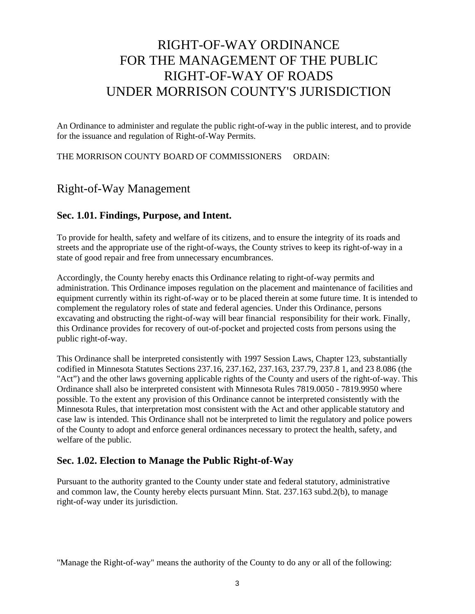# RIGHT-OF-WAY ORDINANCE FOR THE MANAGEMENT OF THE PUBLIC RIGHT-OF-WAY OF ROADS UNDER MORRISON COUNTY'S JURISDICTION

An Ordinance to administer and regulate the public right-of-way in the public interest, and to provide for the issuance and regulation of Right-of-Way Permits.

THE MORRISON COUNTY BOARD OF COMMISSIONERS ORDAIN:

# Right-of-Way Management

#### **Sec. 1.01. Findings, Purpose, and Intent.**

To provide for health, safety and welfare of its citizens, and to ensure the integrity of its roads and streets and the appropriate use of the right-of-ways, the County strives to keep its right-of-way in a state of good repair and free from unnecessary encumbrances.

Accordingly, the County hereby enacts this Ordinance relating to right-of-way permits and administration. This Ordinance imposes regulation on the placement and maintenance of facilities and equipment currently within its right-of-way or to be placed therein at some future time. It is intended to complement the regulatory roles of state and federal agencies. Under this Ordinance, persons excavating and obstructing the right-of-way will bear financial responsibility for their work. Finally, this Ordinance provides for recovery of out-of-pocket and projected costs from persons using the public right-of-way.

This Ordinance shall be interpreted consistently with 1997 Session Laws, Chapter 123, substantially codified in Minnesota Statutes Sections 237.16, 237.162, 237.163, 237.79, 237.8 1, and 23 8.086 (the "Act") and the other laws governing applicable rights of the County and users of the right-of-way. This Ordinance shall also be interpreted consistent with Minnesota Rules 7819.0050 - 7819.9950 where possible. To the extent any provision of this Ordinance cannot be interpreted consistently with the Minnesota Rules, that interpretation most consistent with the Act and other applicable statutory and case law is intended. This Ordinance shall not be interpreted to limit the regulatory and police powers of the County to adopt and enforce general ordinances necessary to protect the health, safety, and welfare of the public.

#### **Sec. 1.02. Election to Manage the Public Right-of-Way**

Pursuant to the authority granted to the County under state and federal statutory, administrative and common law, the County hereby elects pursuant Minn. Stat. 237.163 subd.2(b), to manage right-of-way under its jurisdiction.

"Manage the Right-of-way" means the authority of the County to do any or all of the following: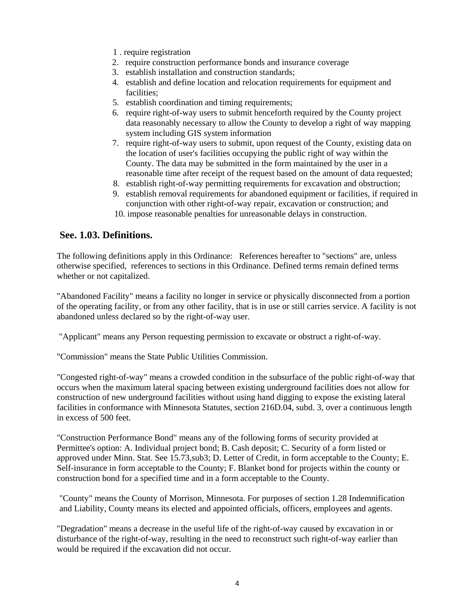- 1 . require registration
- 2. require construction performance bonds and insurance coverage
- 3. establish installation and construction standards;
- 4. establish and define location and relocation requirements for equipment and facilities;
- 5. establish coordination and timing requirements;
- 6. require right-of-way users to submit henceforth required by the County project data reasonably necessary to allow the County to develop a right of way mapping system including GIS system information
- 7. require right-of-way users to submit, upon request of the County, existing data on the location of user's facilities occupying the public right of way within the County. The data may be submitted in the form maintained by the user in a reasonable time after receipt of the request based on the amount of data requested;
- 8. establish right-of-way permitting requirements for excavation and obstruction;
- 9. establish removal requirements for abandoned equipment or facilities, if required in conjunction with other right-of-way repair, excavation or construction; and
- 10. impose reasonable penalties for unreasonable delays in construction.

#### **See. 1.03. Definitions.**

The following definitions apply in this Ordinance: References hereafter to "sections" are, unless otherwise specified, references to sections in this Ordinance. Defined terms remain defined terms whether or not capitalized.

"Abandoned Facility" means a facility no longer in service or physically disconnected from a portion of the operating facility, or from any other facility, that is in use or still carries service. A facility is not abandoned unless declared so by the right-of-way user.

"Applicant" means any Person requesting permission to excavate or obstruct a right-of-way.

"Commission" means the State Public Utilities Commission.

"Congested right-of-way" means a crowded condition in the subsurface of the public right-of-way that occurs when the maximum lateral spacing between existing underground facilities does not allow for construction of new underground facilities without using hand digging to expose the existing lateral facilities in conformance with Minnesota Statutes, section 216D.04, subd. 3, over a continuous length in excess of 500 feet.

"Construction Performance Bond" means any of the following forms of security provided at Permittee's option: A. Individual project bond; B. Cash deposit; C. Security of a form listed or approved under Minn. Stat. See 15.73,sub3; D. Letter of Credit, in form acceptable to the County; E. Self-insurance in form acceptable to the County; F. Blanket bond for projects within the county or construction bond for a specified time and in a form acceptable to the County.

"County" means the County of Morrison, Minnesota. For purposes of section 1.28 Indemnification and Liability, County means its elected and appointed officials, officers, employees and agents.

"Degradation" means a decrease in the useful life of the right-of-way caused by excavation in or disturbance of the right-of-way, resulting in the need to reconstruct such right-of-way earlier than would be required if the excavation did not occur.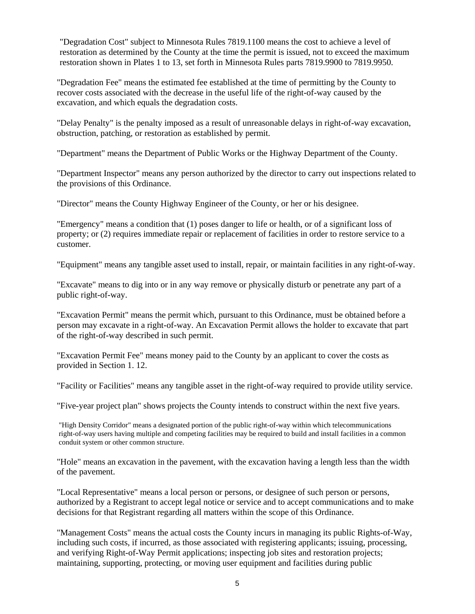"Degradation Cost" subject to Minnesota Rules 7819.1100 means the cost to achieve a level of restoration as determined by the County at the time the permit is issued, not to exceed the maximum restoration shown in Plates 1 to 13, set forth in Minnesota Rules parts 7819.9900 to 7819.9950.

"Degradation Fee" means the estimated fee established at the time of permitting by the County to recover costs associated with the decrease in the useful life of the right-of-way caused by the excavation, and which equals the degradation costs.

"Delay Penalty" is the penalty imposed as a result of unreasonable delays in right-of-way excavation, obstruction, patching, or restoration as established by permit.

"Department" means the Department of Public Works or the Highway Department of the County.

"Department Inspector" means any person authorized by the director to carry out inspections related to the provisions of this Ordinance.

"Director" means the County Highway Engineer of the County, or her or his designee.

"Emergency" means a condition that (1) poses danger to life or health, or of a significant loss of property; or (2) requires immediate repair or replacement of facilities in order to restore service to a customer.

"Equipment" means any tangible asset used to install, repair, or maintain facilities in any right-of-way.

"Excavate" means to dig into or in any way remove or physically disturb or penetrate any part of a public right-of-way.

"Excavation Permit" means the permit which, pursuant to this Ordinance, must be obtained before a person may excavate in a right-of-way. An Excavation Permit allows the holder to excavate that part of the right-of-way described in such permit.

"Excavation Permit Fee" means money paid to the County by an applicant to cover the costs as provided in Section 1. 12.

"Facility or Facilities" means any tangible asset in the right-of-way required to provide utility service.

"Five-year project plan" shows projects the County intends to construct within the next five years.

"High Density Corridor" means a designated portion of the public right-of-way within which telecommunications right-of-way users having multiple and competing facilities may be required to build and install facilities in a common conduit system or other common structure.

"Hole" means an excavation in the pavement, with the excavation having a length less than the width of the pavement.

"Local Representative" means a local person or persons, or designee of such person or persons, authorized by a Registrant to accept legal notice or service and to accept communications and to make decisions for that Registrant regarding all matters within the scope of this Ordinance.

"Management Costs" means the actual costs the County incurs in managing its public Rights-of-Way, including such costs, if incurred, as those associated with registering applicants; issuing, processing, and verifying Right-of-Way Permit applications; inspecting job sites and restoration projects; maintaining, supporting, protecting, or moving user equipment and facilities during public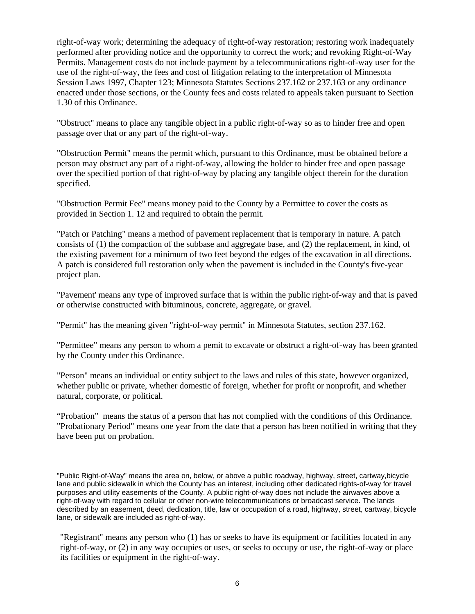right-of-way work; determining the adequacy of right-of-way restoration; restoring work inadequately performed after providing notice and the opportunity to correct the work; and revoking Right-of-Way Permits. Management costs do not include payment by a telecommunications right-of-way user for the use of the right-of-way, the fees and cost of litigation relating to the interpretation of Minnesota Session Laws 1997, Chapter 123; Minnesota Statutes Sections 237.162 or 237.163 or any ordinance enacted under those sections, or the County fees and costs related to appeals taken pursuant to Section 1.30 of this Ordinance.

"Obstruct" means to place any tangible object in a public right-of-way so as to hinder free and open passage over that or any part of the right-of-way.

"Obstruction Permit" means the permit which, pursuant to this Ordinance, must be obtained before a person may obstruct any part of a right-of-way, allowing the holder to hinder free and open passage over the specified portion of that right-of-way by placing any tangible object therein for the duration specified.

"Obstruction Permit Fee" means money paid to the County by a Permittee to cover the costs as provided in Section 1. 12 and required to obtain the permit.

"Patch or Patching" means a method of pavement replacement that is temporary in nature. A patch consists of (1) the compaction of the subbase and aggregate base, and (2) the replacement, in kind, of the existing pavement for a minimum of two feet beyond the edges of the excavation in all directions. A patch is considered full restoration only when the pavement is included in the County's five-year project plan.

"Pavement' means any type of improved surface that is within the public right-of-way and that is paved or otherwise constructed with bituminous, concrete, aggregate, or gravel.

"Permit" has the meaning given "right-of-way permit" in Minnesota Statutes, section 237.162.

"Permittee" means any person to whom a pemit to excavate or obstruct a right-of-way has been granted by the County under this Ordinance.

"Person" means an individual or entity subject to the laws and rules of this state, however organized, whether public or private, whether domestic of foreign, whether for profit or nonprofit, and whether natural, corporate, or political.

"Probation" means the status of a person that has not complied with the conditions of this Ordinance. "Probationary Period" means one year from the date that a person has been notified in writing that they have been put on probation.

"Public Right-of-Way" means the area on, below, or above a public roadway, highway, street, cartway,bicycle lane and public sidewalk in which the County has an interest, including other dedicated rights-of-way for travel purposes and utility easements of the County. A public right-of-way does not include the airwaves above a right-of-way with regard to cellular or other non-wire telecommunications or broadcast service. The lands described by an easement, deed, dedication, title, law or occupation of a road, highway, street, cartway, bicycle lane, or sidewalk are included as right-of-way.

"Registrant" means any person who (1) has or seeks to have its equipment or facilities located in any right-of-way, or (2) in any way occupies or uses, or seeks to occupy or use, the right-of-way or place its facilities or equipment in the right-of-way.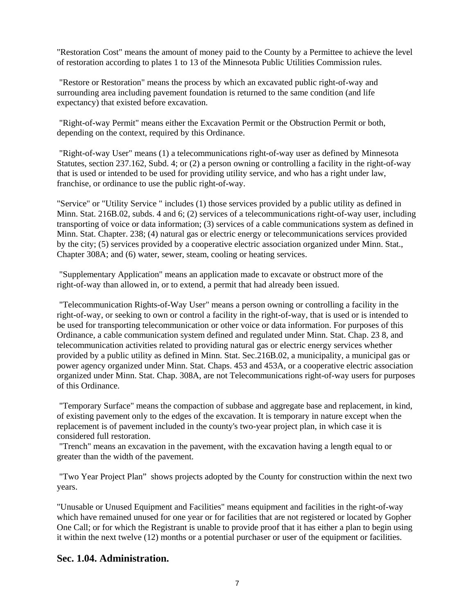"Restoration Cost" means the amount of money paid to the County by a Permittee to achieve the level of restoration according to plates 1 to 13 of the Minnesota Public Utilities Commission rules.

"Restore or Restoration" means the process by which an excavated public right-of-way and surrounding area including pavement foundation is returned to the same condition (and life expectancy) that existed before excavation.

"Right-of-way Permit" means either the Excavation Permit or the Obstruction Permit or both, depending on the context, required by this Ordinance.

"Right-of-way User" means (1) a telecommunications right-of-way user as defined by Minnesota Statutes, section 237.162, Subd. 4; or (2) a person owning or controlling a facility in the right-of-way that is used or intended to be used for providing utility service, and who has a right under law, franchise, or ordinance to use the public right-of-way.

"Service" or "Utility Service " includes (1) those services provided by a public utility as defined in Minn. Stat. 216B.02, subds. 4 and 6; (2) services of a telecommunications right-of-way user, including transporting of voice or data information; (3) services of a cable communications system as defined in Minn. Stat. Chapter. 238; (4) natural gas or electric energy or telecommunications services provided by the city; (5) services provided by a cooperative electric association organized under Minn. Stat., Chapter 308A; and (6) water, sewer, steam, cooling or heating services.

"Supplementary Application" means an application made to excavate or obstruct more of the right-of-way than allowed in, or to extend, a permit that had already been issued.

"Telecommunication Rights-of-Way User" means a person owning or controlling a facility in the right-of-way, or seeking to own or control a facility in the right-of-way, that is used or is intended to be used for transporting telecommunication or other voice or data information. For purposes of this Ordinance, a cable communication system defined and regulated under Minn. Stat. Chap. 23 8, and telecommunication activities related to providing natural gas or electric energy services whether provided by a public utility as defined in Minn. Stat. Sec.216B.02, a municipality, a municipal gas or power agency organized under Minn. Stat. Chaps. 453 and 453A, or a cooperative electric association organized under Minn. Stat. Chap. 308A, are not Telecommunications right-of-way users for purposes of this Ordinance.

"Temporary Surface" means the compaction of subbase and aggregate base and replacement, in kind, of existing pavement only to the edges of the excavation. It is temporary in nature except when the replacement is of pavement included in the county's two-year project plan, in which case it is considered full restoration.

"Trench" means an excavation in the pavement, with the excavation having a length equal to or greater than the width of the pavement.

"Two Year Project Plan" shows projects adopted by the County for construction within the next two years.

"Unusable or Unused Equipment and Facilities" means equipment and facilities in the right-of-way which have remained unused for one year or for facilities that are not registered or located by Gopher One Call; or for which the Registrant is unable to provide proof that it has either a plan to begin using it within the next twelve (12) months or a potential purchaser or user of the equipment or facilities.

#### **Sec. 1.04. Administration.**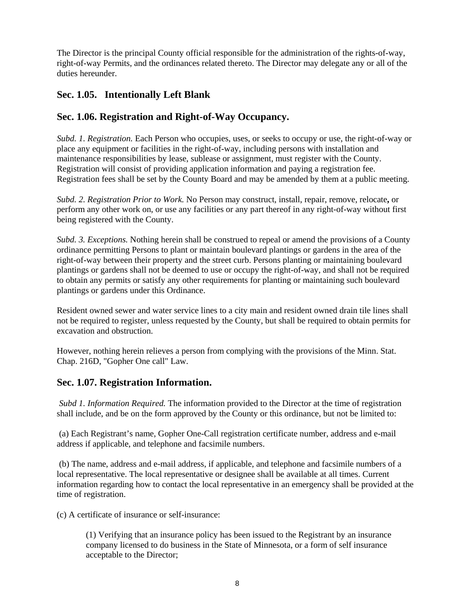The Director is the principal County official responsible for the administration of the rights-of-way, right-of-way Permits, and the ordinances related thereto. The Director may delegate any or all of the duties hereunder.

# **Sec. 1.05. Intentionally Left Blank**

## **Sec. 1.06. Registration and Right-of-Way Occupancy.**

*Subd. 1. Registration.* Each Person who occupies, uses, or seeks to occupy or use, the right-of-way or place any equipment or facilities in the right-of-way, including persons with installation and maintenance responsibilities by lease, sublease or assignment, must register with the County. Registration will consist of providing application information and paying a registration fee. Registration fees shall be set by the County Board and may be amended by them at a public meeting.

*Subd. 2. Registration Prior to Work.* No Person may construct, install, repair, remove, relocate**,** or perform any other work on, or use any facilities or any part thereof in any right-of-way without first being registered with the County.

*Subd. 3. Exceptions.* Nothing herein shall be construed to repeal or amend the provisions of a County ordinance permitting Persons to plant or maintain boulevard plantings or gardens in the area of the right-of-way between their property and the street curb. Persons planting or maintaining boulevard plantings or gardens shall not be deemed to use or occupy the right-of-way, and shall not be required to obtain any permits or satisfy any other requirements for planting or maintaining such boulevard plantings or gardens under this Ordinance.

Resident owned sewer and water service lines to a city main and resident owned drain tile lines shall not be required to register, unless requested by the County, but shall be required to obtain permits for excavation and obstruction.

However, nothing herein relieves a person from complying with the provisions of the Minn. Stat. Chap. 216D, "Gopher One call" Law.

#### **Sec. 1.07. Registration Information.**

*Subd 1. Information Required.* The information provided to the Director at the time of registration shall include, and be on the form approved by the County or this ordinance, but not be limited to:

(a) Each Registrant's name, Gopher One-Call registration certificate number, address and e-mail address if applicable, and telephone and facsimile numbers.

(b) The name, address and e-mail address, if applicable, and telephone and facsimile numbers of a local representative. The local representative or designee shall be available at all times. Current information regarding how to contact the local representative in an emergency shall be provided at the time of registration.

(c) A certificate of insurance or self-insurance:

(1) Verifying that an insurance policy has been issued to the Registrant by an insurance company licensed to do business in the State of Minnesota, or a form of self insurance acceptable to the Director;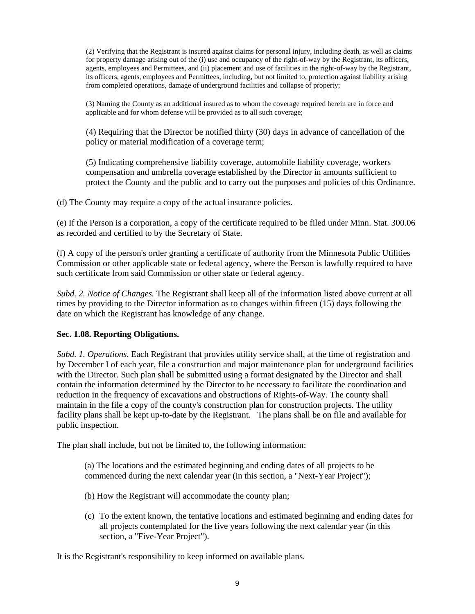(2) Verifying that the Registrant is insured against claims for personal injury, including death, as well as claims for property damage arising out of the (i) use and occupancy of the right-of-way by the Registrant, its officers, agents, employees and Permittees, and (ii) placement and use of facilities in the right-of-way by the Registrant, its officers, agents, employees and Permittees, including, but not limited to, protection against liability arising from completed operations, damage of underground facilities and collapse of property;

(3) Naming the County as an additional insured as to whom the coverage required herein are in force and applicable and for whom defense will be provided as to all such coverage;

(4) Requiring that the Director be notified thirty (30) days in advance of cancellation of the policy or material modification of a coverage term;

(5) Indicating comprehensive liability coverage, automobile liability coverage, workers compensation and umbrella coverage established by the Director in amounts sufficient to protect the County and the public and to carry out the purposes and policies of this Ordinance.

(d) The County may require a copy of the actual insurance policies.

(e) If the Person is a corporation, a copy of the certificate required to be filed under Minn. Stat. 300.06 as recorded and certified to by the Secretary of State.

(f) A copy of the person's order granting a certificate of authority from the Minnesota Public Utilities Commission or other applicable state or federal agency, where the Person is lawfully required to have such certificate from said Commission or other state or federal agency.

*Subd. 2. Notice of Changes.* The Registrant shall keep all of the information listed above current at all times by providing to the Director information as to changes within fifteen (15) days following the date on which the Registrant has knowledge of any change.

#### **Sec. 1.08. Reporting Obligations.**

*Subd. 1. Operations.* Each Registrant that provides utility service shall, at the time of registration and by December I of each year, file a construction and major maintenance plan for underground facilities with the Director. Such plan shall be submitted using a format designated by the Director and shall contain the information determined by the Director to be necessary to facilitate the coordination and reduction in the frequency of excavations and obstructions of Rights-of-Way. The county shall maintain in the file a copy of the county's construction plan for construction projects. The utility facility plans shall be kept up-to-date by the Registrant. The plans shall be on file and available for public inspection.

The plan shall include, but not be limited to, the following information:

(a) The locations and the estimated beginning and ending dates of all projects to be commenced during the next calendar year (in this section, a "Next-Year Project");

- (b) How the Registrant will accommodate the county plan;
- (c) To the extent known, the tentative locations and estimated beginning and ending dates for all projects contemplated for the five years following the next calendar year (in this section, a "Five-Year Project").

It is the Registrant's responsibility to keep informed on available plans.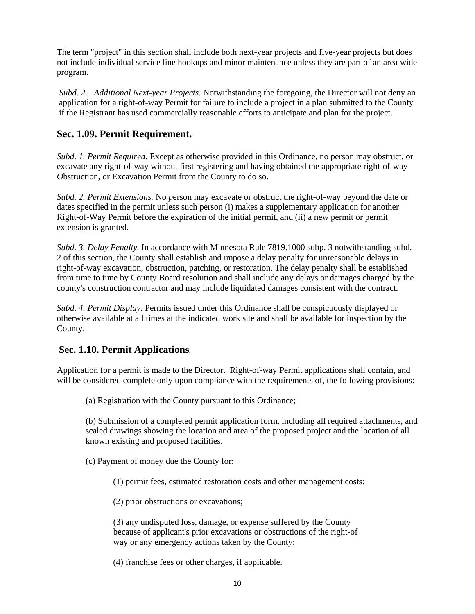The term "project" in this section shall include both next-year projects and five-year projects but does not include individual service line hookups and minor maintenance unless they are part of an area wide program.

*Subd. 2. Additional Next-year Projects.* Notwithstanding the foregoing, the Director will not deny an application for a right-of-way Permit for failure to include a project in a plan submitted to the County if the Registrant has used commercially reasonable efforts to anticipate and plan for the project.

#### **Sec. 1.09. Permit Requirement.**

*Subd. 1. Permit Required.* Except as otherwise provided in this Ordinance, no person may obstruct, or excavate any right-of-way without first registering and having obtained the appropriate right-of-way *O*bstruction, or Excavation Permit from the County to do so.

*Subd. 2. Permit Extensions.* No *p*erson may excavate or obstruct the right-of-way beyond the date or dates specified in the permit unless such person (i) makes a supplementary application for another Right-of-Way Permit before the expiration of the initial permit, and (ii) a new permit or permit extension is granted.

*Subd. 3. Delay Penalty.* In accordance with Minnesota Rule 7819.1000 subp. 3 notwithstanding subd. 2 of this section, the County shall establish and impose a delay penalty for unreasonable delays in right-of-way excavation, obstruction, patching, or restoration. The delay penalty shall be established from time to time by County Board resolution and shall include any delays or damages charged by the county's construction contractor and may include liquidated damages consistent with the contract.

*Subd. 4. Permit Display.* Permits issued under this Ordinance shall be conspicuously displayed or otherwise available at all times at the indicated work site and shall be available for inspection by the County.

#### **Sec. 1.10. Permit Applications***.*

Application for a permit is made to the Director. Right-of-way Permit applications shall contain, and will be considered complete only upon compliance with the requirements of, the following provisions:

(a) Registration with the County pursuant to this Ordinance;

(b) Submission of a completed permit application form, including all required attachments, and scaled drawings showing the location and area of the proposed project and the location of all known existing and proposed facilities.

(c) Payment of money due the County for:

(1) permit fees, estimated restoration costs and other management costs;

(2) prior obstructions or excavations;

(3) any undisputed loss, damage, or expense suffered by the County because of applicant's prior excavations or obstructions of the right-of way or any emergency actions taken by the County;

(4) franchise fees or other charges, if applicable.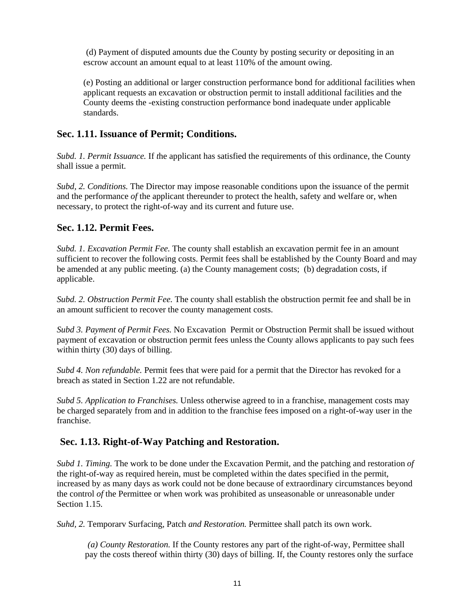(d) Payment of disputed amounts due the County by posting security or depositing in an escrow account an amount equal to at least 110% of the amount owing.

(e) Posting an additional or larger construction performance bond for additional facilities when applicant requests an excavation or obstruction permit to install additional facilities and the County deems the -existing construction performance bond inadequate under applicable standards.

#### **Sec. 1.11. Issuance of Permit; Conditions.**

*Subd. 1. Permit Issuance.* If *t*he applicant has satisfied the requirements of this ordinance, the County shall issue a permit.

*Subd, 2. Conditions.* The Director may impose reasonable conditions upon the issuance of the permit and the performance *of* the applicant thereunder to protect the health, safety and welfare or, when necessary, to protect the right-of-way and its current and future use.

#### **Sec. 1.12. Permit Fees.**

*Subd. 1. Excavation Permit Fee.* The county shall establish an excavation permit fee in an amount sufficient to recover the following costs. Permit fees shall be established by the County Board and may be amended at any public meeting. (a) the County management costs; (b) degradation costs, if applicable.

*Subd. 2. Obstruction Permit Fee.* The county shall establish the obstruction permit fee and shall be in an amount sufficient to recover the county management costs.

*Subd 3. Payment of Permit Fees.* No Excavation Permit or Obstruction Permit shall be issued without payment of excavation or obstruction permit fees unless the County allows applicants to pay such fees within thirty (30) days of billing.

*Subd 4. Non refundable.* Permit fees that were paid for a permit that the Director has revoked for a breach as stated in Section 1.22 are not refundable.

*Subd 5. Application to Franchises.* Unless otherwise agreed to in a franchise, management costs may be charged separately from and in addition to the franchise fees imposed on a right-of-way user in the franchise.

#### **Sec. 1.13. Right-of-Way Patching and Restoration.**

*Subd 1. Timing.* The work to be done under the Excavation Permit, and the patching and restoration *of*  the right-of-way as required herein, must be completed within the dates specified in the permit, increased by as many days as work could not be done because of extraordinary circumstances beyond the control *of* the Permittee or when work was prohibited as unseasonable or unreasonable under Section 1.15.

*Suhd, 2.* Temporarv Surfacing, Patch *and Restoration.* Permittee shall patch its own work.

*(a) County Restoration.* If the County restores any part of the right-of-way, Permittee shall pay the costs thereof within thirty (30) days of billing. If, the County restores only the surface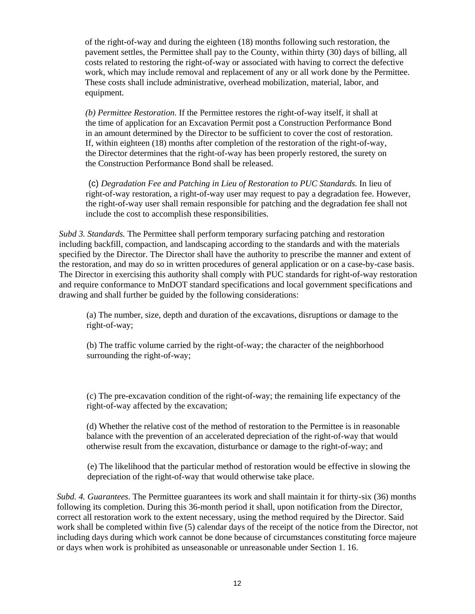of the right-of-way and during the eighteen (18) months following such restoration, the pavement settles, the Permittee shall pay to the County, within thirty (30) days of billing, all costs related to restoring the right-of-way or associated with having to correct the defective work, which may include removal and replacement of any or all work done by the Permittee. These costs shall include administrative, overhead mobilization, material, labor, and equipment.

*(b) Permittee Restoration.* If the Permittee restores the right-of-way itself, it shall at the time of application for an Excavation Permit post a Construction Performance Bond in an amount determined by the Director to be sufficient to cover the cost of restoration. If, within eighteen (18) months after completion of the restoration of the right-of-way, the Director determines that the right-of-way has been properly restored, the surety on the Construction Performance Bond shall be released.

(c) *Degradation Fee and Patching in Lieu of Restoration to PUC Standards.* In lieu of right-of-way restoration, a right-of-way user may request to pay a degradation fee. However, the right-of-way user shall remain responsible for patching and the degradation fee shall not include the cost to accomplish these responsibilities.

*Subd 3. Standards.* The Permittee shall perform temporary surfacing patching and restoration including backfill, compaction, and landscaping according to the standards and with the materials specified by the Director. The Director shall have the authority to prescribe the manner and extent of the restoration, and may do so in written procedures of general application or on a case-by-case basis. The Director in exercising this authority shall comply with PUC standards for right-of-way restoration and require conformance to MnDOT standard specifications and local government specifications and drawing and shall further be guided by the following considerations:

(a) The number, size, depth and duration of the excavations, disruptions or damage to the right-of-way;

(b) The traffic volume carried by the right-of-way; the character of the neighborhood surrounding the right-of-way;

(c) The pre-excavation condition of the right-of-way; the remaining life expectancy of the right-of-way affected by the excavation;

(d) Whether the relative cost of the method of restoration to the Permittee is in reasonable balance with the prevention of an accelerated depreciation of the right-of-way that would otherwise result from the excavation, disturbance or damage to the right-of-way; and

(e) The likelihood that the particular method of restoration would be effective in slowing the depreciation of the right-of-way that would otherwise take place.

*Subd. 4. Guarantees.* The Permittee guarantees its work and shall maintain it for thirty-six (36) months following its completion. During this 36-month period it shall, upon notification from the Director, correct all restoration work to the extent necessary, using the method required by the Director. Said work shall be completed within five (5) calendar days of the receipt of the notice from the Director, not including days during which work cannot be done because of circumstances constituting force majeure or days when work is prohibited as unseasonable or unreasonable under Section 1. 16.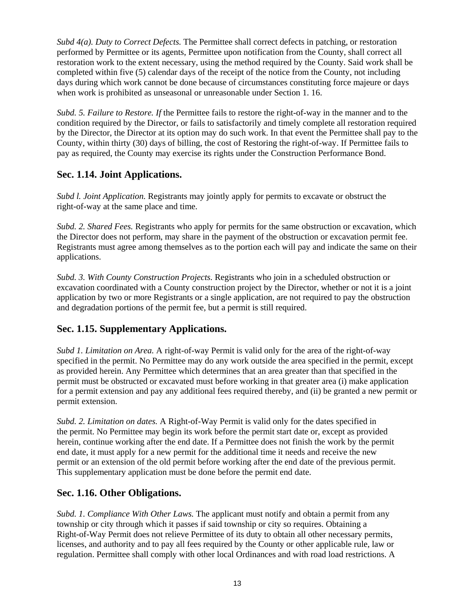*Subd 4(a). Duty to Correct Defects.* The Permittee shall correct defects in patching, or restoration performed by Permittee or its agents, Permittee upon notification from the County, shall correct all restoration work to the extent necessary, using the method required by the County. Said work shall be completed within five (5) calendar days of the receipt of the notice from the County, not including days during which work cannot be done because of circumstances constituting force majeure or days when work is prohibited as unseasonal or unreasonable under Section 1. 16.

*Subd. 5. Failure to Restore. If* the Permittee fails to restore the right-of-way in the manner and to the condition required by the Director, or fails to satisfactorily and timely complete all restoration required by the Director, the Director at its option may do such work. In that event the Permittee shall pay to the County, within thirty (30) days of billing, the cost of Restoring the right-of-way. If Permittee fails to pay as required, the County may exercise its rights under the Construction Performance Bond.

# **Sec. 1.14. Joint Applications.**

*Subd l. Joint Application.* Registrants may jointly apply for permits to excavate or obstruct the right-of-way at the same place and time.

*Subd. 2. Shared Fees.* Registrants who apply for permits for the same obstruction or excavation, which the Director does not perform, may share in the payment of the obstruction or excavation permit fee. Registrants must agree among themselves as to the portion each will pay and indicate the same on their applications.

*Subd. 3. With County Construction Projects.* Registrants who join in a scheduled obstruction or excavation coordinated with a County construction project by the Director, whether or not it is a joint application by two or more Registrants or a single application, are not required to pay the obstruction and degradation portions of the permit fee, but a permit is still required.

# **Sec. 1.15. Supplementary Applications.**

*Subd 1. Limitation on Area.* A right-of-way Permit is valid only for the area of the right-of-way specified in the permit. No Permittee may do any work outside the area specified in the permit, except as provided herein. Any Permittee which determines that an area greater than that specified in the permit must be obstructed or excavated must before working in that greater area (i) make application for a permit extension and pay any additional fees required thereby, and (ii) be granted a new permit or permit extension.

*Subd. 2. Limitation on dates.* A Right-of-Way Permit is valid only for the dates specified in the permit. No Permittee may begin its work before the permit start date or, except as provided herein, continue working after the end date. If a Permittee does not finish the work by the permit end date, it must apply for a new permit for the additional time it needs and receive the new permit or an extension of the old permit before working after the end date of the previous permit. This supplementary application must be done before the permit end date.

#### **Sec. 1.16. Other Obligations.**

*Subd. 1. Compliance With Other Laws.* The applicant must notify and obtain a permit from any township or city through which it passes if said township or city so requires. Obtaining a Right-of-Way Permit does not relieve Permittee of its duty to obtain all other necessary permits, licenses, and authority and to pay all fees required by the County or other applicable rule, law or regulation. Permittee shall comply with other local Ordinances and with road load restrictions. A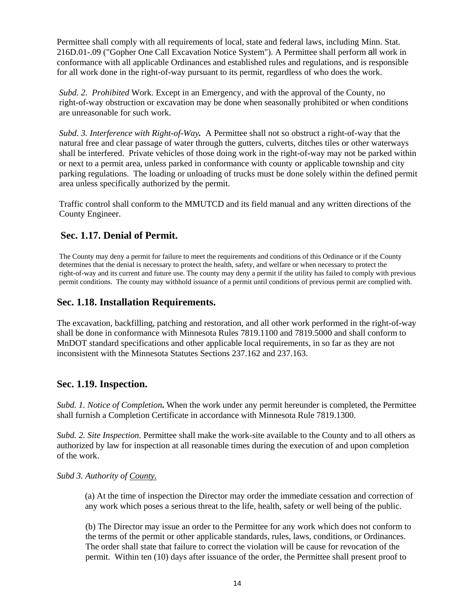Permittee shall comply with all requirements of local, state and federal laws, including Minn. Stat. 216D.01-.09 ("Gopher One Call Excavation Notice System"). A Permittee shall perform all work in conformance with all applicable Ordinances and established rules and regulations, and is responsible for all work done in the right-of-way pursuant to its permit, regardless of who does the work.

*Subd. 2. Prohibited* Work. Except in an Emergency, and with the approval of the County, no right-of-way obstruction or excavation may be done when seasonally prohibited or when conditions are unreasonable for such work.

*Subd. 3. Interference with Right-of-Way.* A Permittee shall not so obstruct a right-of-way that the natural free and clear passage of water through the gutters, culverts, ditches tiles or other waterways shall be interfered. Private vehicles of those doing work in the right-of-way may not be parked within or next to a permit area, unless parked in conformance with county or applicable township and city parking regulations. The loading or unloading of trucks must be done solely within the defined permit area unless specifically authorized by the permit.

Traffic control shall conform to the MMUTCD and its field manual and any written directions of the County Engineer.

#### **Sec. 1.17. Denial of Permit.**

The County may deny a permit for failure to meet the requirements and conditions of this Ordinance or if the County determines that the denial is necessary to protect the health, safety, and welfare or when necessary to protect the right-of-way and its current and future use. The county may deny a permit if the utility has failed to comply with previous permit conditions. The county may withhold issuance of a permit until conditions of previous permit are complied with.

#### **Sec. 1.18. Installation Requirements.**

The excavation, backfilling, patching and restoration, and all other work performed in the right-of-way shall be done in conformance with Minnesota Rules 7819.1100 and 7819.5000 and shall conform to MnDOT standard specifications and other applicable local requirements, in so far as they are not inconsistent with the Minnesota Statutes Sections 237.162 and 237.163.

#### **Sec. 1.19. Inspection.**

*Subd. 1. Notice of Completion***.** When the work under any permit hereunder is completed, the Permittee shall furnish a Completion Certificate in accordance with Minnesota Rule 7819.1300.

*Subd. 2. Site Inspection.* Permittee shall make the work-site available to the County and to all others as authorized by law for inspection at all reasonable times during the execution of and upon completion of the work.

#### *Subd 3. Authority of County.*

(a) At the time of inspection the Director may order the immediate cessation and correction of any work which poses a serious threat to the life, health, safety or well being of the public.

(b) The Director may issue an order to the Permittee for any work which does not conform to the terms of the permit or other applicable standards, rules, laws, conditions, or Ordinances. The order shall state that failure to correct the violation will be cause for revocation of the permit. Within ten (10) days after issuance of the order, the Permittee shall present proof to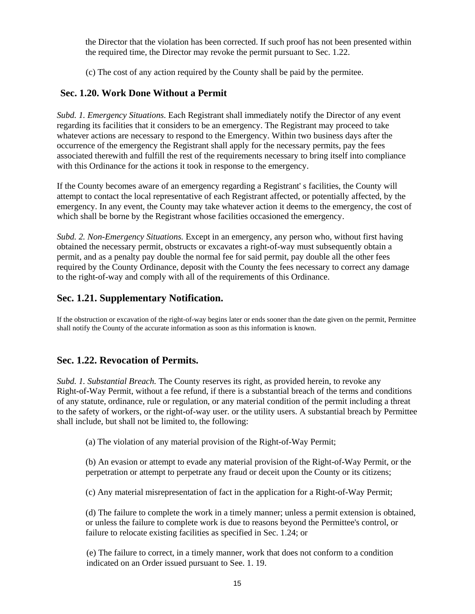the Director that the violation has been corrected. If such proof has not been presented within the required time, the Director may revoke the permit pursuant to Sec. 1.22.

(c) The cost of any action required by the County shall be paid by the permitee.

## **Sec. 1.20. Work Done Without a Permit**

*Subd. 1. Emergency Situations.* Each Registrant shall immediately notify the Director of any event regarding its facilities that it considers to be an emergency. The Registrant may proceed to take whatever actions are necessary to respond to the Emergency. Within two business days after the occurrence of the emergency the Registrant shall apply for the necessary permits, pay the fees associated therewith and fulfill the rest of the requirements necessary to bring itself into compliance with this Ordinance for the actions it took in response to the emergency.

If the County becomes aware of an emergency regarding a Registrant' s facilities, the County will attempt to contact the local representative of each Registrant affected, or potentially affected, by the emergency. In any event, the County may take whatever action it deems to the emergency, the cost of which shall be borne by the Registrant whose facilities occasioned the emergency.

*Subd. 2. Non-Emergency Situations.* Except in an emergency, any person who, without first having obtained the necessary permit, obstructs or excavates a right-of-way must subsequently obtain a permit, and as a penalty pay double the normal fee for said permit, pay double all the other fees required by the County Ordinance, deposit with the County the fees necessary to correct any damage to the right-of-way and comply with all of the requirements of this Ordinance.

# **Sec. 1.21. Supplementary Notification.**

If the obstruction or excavation of the right-of-way begins later or ends sooner than the date given on the permit, Permittee shall notify the County of the accurate information as soon as this information is known.

#### **Sec. 1.22. Revocation of Permits.**

*Subd. 1. Substantial Breach.* The County reserves its right, as provided herein, to revoke any Right-of-Way Permit, without a fee refund, if there is a substantial breach of the terms and conditions of any statute, ordinance, rule or regulation, or any material condition of the permit including a threat to the safety of workers, or the right-of-way user. or the utility users. A substantial breach by Permittee shall include, but shall not be limited to, the following:

(a) The violation of any material provision of the Right-of-Way Permit;

(b) An evasion or attempt to evade any material provision of the Right-of-Way Permit, or the perpetration or attempt to perpetrate any fraud or deceit upon the County or its citizens;

(c) Any material misrepresentation of fact in the application for a Right-of-Way Permit;

(d) The failure to complete the work in a timely manner; unless a permit extension is obtained, or unless the failure to complete work is due to reasons beyond the Permittee's control, or failure to relocate existing facilities as specified in Sec. 1.24; or

(e) The failure to correct, in a timely manner, work that does not conform to a condition indicated on an Order issued pursuant to See. 1. 19.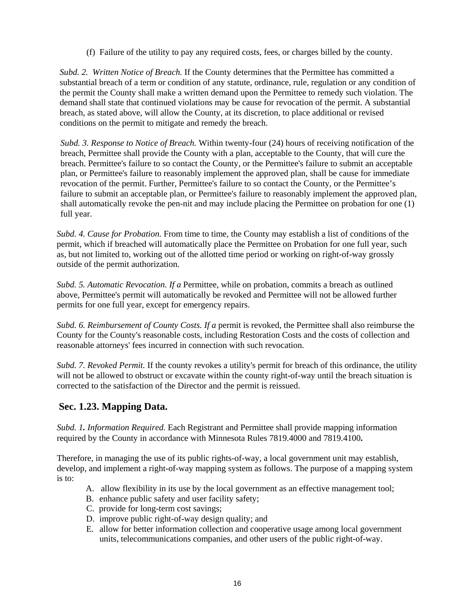(f) Failure of the utility to pay any required costs, fees, or charges billed by the county.

*Subd. 2. Written Notice of Breach.* If the County determines that the Permittee has committed a substantial breach of a term or condition of any statute, ordinance, rule, regulation or any condition of the permit the County shall make a written demand upon the Permittee to remedy such violation. The demand shall state that continued violations may be cause for revocation of the permit. A substantial breach, as stated above, will allow the County, at its discretion, to place additional or revised conditions on the permit to mitigate and remedy the breach.

*Subd. 3. Response to Notice of Breach.* Within twenty-four (24) hours of receiving notification of the breach, Permittee shall provide the County with a plan, acceptable to the County, that will cure the breach. Permittee's failure to so contact the County, or the Permittee's failure to submit an acceptable plan, or Permittee's failure to reasonably implement the approved plan, shall be cause for immediate revocation of the permit. Further, Permittee's failure to so contact the County, or the Permittee's failure to submit an acceptable plan, or Permittee's failure to reasonably implement the approved plan, shall automatically revoke the pen-nit and may include placing the Permittee on probation for one (1) full year.

*Subd. 4. Cause for Probation.* From time to time, the County may establish a list of conditions of the permit, which if breached will automatically place the Permittee on Probation for one full year, such as, but not limited to, working out of the allotted time period or working on right-of-way grossly outside of the permit authorization.

*Subd. 5. Automatic Revocation. If a* Permittee, while on probation, commits a breach as outlined above, Permittee's permit will automatically be revoked and Permittee will not be allowed further permits for one full year, except for emergency repairs.

*Subd. 6. Reimbursement of County Costs. If a* permit is revoked, the Permittee shall also reimburse the County for the County's reasonable costs, including Restoration Costs and the costs of collection and reasonable attorneys' fees incurred in connection with such revocation.

*Subd. 7. Revoked Permit.* If the county revokes a utility's permit for breach of this ordinance, the utility will not be allowed to obstruct or excavate within the county right-of-way until the breach situation is corrected to the satisfaction of the Director and the permit is reissued.

#### **Sec. 1.23. Mapping Data.**

*Subd. 1. Information Required.* Each Registrant and Permittee shall provide mapping information required by the County in accordance with Minnesota Rules 7819.4000 and 7819.4100**.** 

Therefore, in managing the use of its public rights-of-way, a local government unit may establish, develop, and implement a right-of-way mapping system as follows. The purpose of a mapping system is to:

- A. allow flexibility in its use by the local government as an effective management tool;
- B. enhance public safety and user facility safety;
- C. provide for long-term cost savings;
- D. improve public right-of-way design quality; and
- E. allow for better information collection and cooperative usage among local government units, telecommunications companies, and other users of the public right-of-way.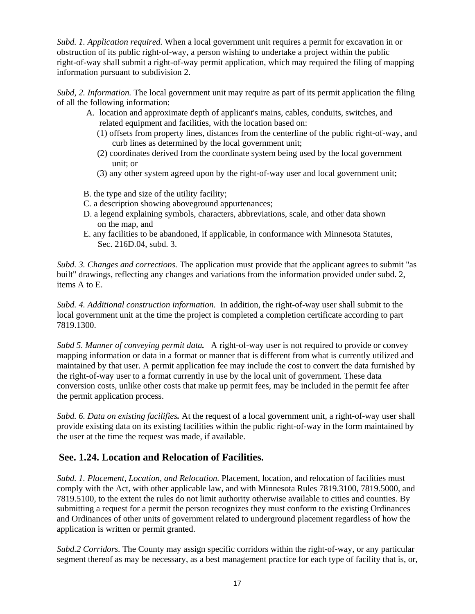*Subd. 1. Application required.* When a local government unit requires a permit for excavation in or obstruction of its public right-of-way, a person wishing to undertake a project within the public right-of-way shall submit a right-of-way permit application, which may required the filing of mapping information pursuant to subdivision 2.

*Subd, 2. Information.* The local government unit may require as part of its permit application the filing of all the following information:

- A. location and approximate depth of applicant's mains, cables, conduits, switches, and related equipment and facilities, with the location based on:
	- (1) offsets from property lines, distances from the centerline of the public right-of-way, and curb lines as determined by the local government unit;
	- (2) coordinates derived from the coordinate system being used by the local government unit; or
	- (3) any other system agreed upon by the right-of-way user and local government unit;
- B. the type and size of the utility facility;
- C. a description showing aboveground appurtenances;
- D. a legend explaining symbols, characters, abbreviations, scale, and other data shown on the map, and
- E. any facilities to be abandoned, if applicable, in conformance with Minnesota Statutes, Sec. 216D.04, subd. 3.

*Subd. 3. Changes and corrections.* The application must provide that the applicant agrees to submit "as built" drawings, reflecting any changes and variations from the information provided under subd. 2, items A to E.

*Subd. 4. Additional construction information.* In addition, the right-of-way user shall submit to the local government unit at the time the project is completed a completion certificate according to part 7819.1300.

*Subd 5. Manner of conveying permit data.* A right-of-way user is not required to provide or convey mapping information or data in a format or manner that is different from what is currently utilized and maintained by that user. A permit application fee may include the cost to convert the data furnished by the right-of-way user to a format currently in use by the local unit of government. These data conversion costs, unlike other costs that make up permit fees, may be included in the permit fee after the permit application process.

*Subd. 6. Data on existing facilifies.* At the request of a local government unit, a right-of-way user shall provide existing data on its existing facilities within the public right-of-way in the form maintained by the user at the time the request was made, if available.

#### **See. 1.24. Location and Relocation of Facilities.**

*Subd. 1. Placement, Location, and Relocation.* Placement, location, and relocation of facilities must comply with the Act, with other applicable law, and with Minnesota Rules 7819.3100, 7819.5000, and 7819.5100, to the extent the rules do not limit authority otherwise available to cities and counties. By submitting a request for a permit the person recognizes they must conform to the existing Ordinances and Ordinances of other units of government related to underground placement regardless of how the application is written or permit granted.

*Subd.2 Corridors.* The County may assign specific corridors within the right-of-way, or any particular segment thereof as may be necessary, as a best management practice for each type of facility that is, or,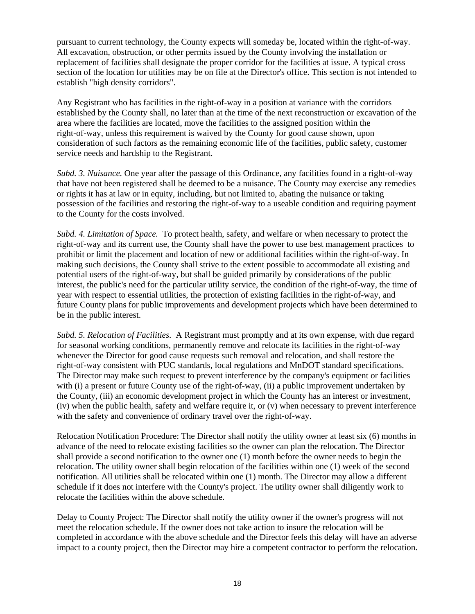pursuant to current technology, the County expects will someday be, located within the right-of-way. All excavation, obstruction, or other permits issued by the County involving the installation or replacement of facilities shall designate the proper corridor for the facilities at issue. A typical cross section of the location for utilities may be on file at the Director's office. This section is not intended to establish "high density corridors".

Any Registrant who has facilities in the right-of-way in a position at variance with the corridors established by the County shall, no later than at the time of the next reconstruction or excavation of the area where the facilities are located, move the facilities to the assigned position within the right-of-way, unless this requirement is waived by the County for good cause shown, upon consideration of such factors as the remaining economic life of the facilities, public safety, customer service needs and hardship to the Registrant.

*Subd. 3. Nuisance.* One year after the passage of this Ordinance, any facilities found in a right-of-way that have not been registered shall be deemed to be a nuisance. The County may exercise any remedies or rights it has at law or in equity, including, but not limited to, abating the nuisance or taking possession of the facilities and restoring the right-of-way to a useable condition and requiring payment to the County for the costs involved.

*Subd. 4. Limitation of Space.* To protect health, safety, and welfare or when necessary to protect the right-of-way and its current use, the County shall have the power to use best management practices to prohibit or limit the placement and location of new or additional facilities within the right-of-way. In making such decisions, the County shall strive to the extent possible to accommodate all existing and potential users of the right-of-way, but shall be guided primarily by considerations of the public interest, the public's need for the particular utility service, the condition of the right-of-way, the time of year with respect to essential utilities, the protection of existing facilities in the right-of-way, and future County plans for public improvements and development projects which have been determined to be in the public interest.

*Subd. 5. Relocation of Facilities.* A Registrant must promptly and at its own expense, with due regard for seasonal working conditions, permanently remove and relocate its facilities in the right-of-way whenever the Director for good cause requests such removal and relocation, and shall restore the right-of-way consistent with PUC standards, local regulations and MnDOT standard specifications. The Director may make such request to prevent interference by the company's equipment or facilities with (i) a present or future County use of the right-of-way, (ii) a public improvement undertaken by the County, (iii) an economic development project in which the County has an interest or investment, (iv) when the public health, safety and welfare require it, or (v) when necessary to prevent interference with the safety and convenience of ordinary travel over the right-of-way.

Relocation Notification Procedure: The Director shall notify the utility owner at least six (6) months in advance of the need to relocate existing facilities so the owner can plan the relocation. The Director shall provide a second notification to the owner one (1) month before the owner needs to begin the relocation. The utility owner shall begin relocation of the facilities within one (1) week of the second notification. All utilities shall be relocated within one (1) month. The Director may allow a different schedule if it does not interfere with the County's project. The utility owner shall diligently work to relocate the facilities within the above schedule.

Delay to County Project: The Director shall notify the utility owner if the owner's progress will not meet the relocation schedule. If the owner does not take action to insure the relocation will be completed in accordance with the above schedule and the Director feels this delay will have an adverse impact to a county project, then the Director may hire a competent contractor to perform the relocation.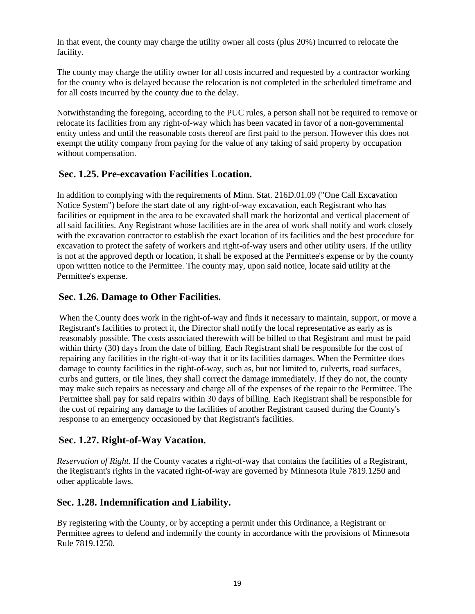In that event, the county may charge the utility owner all costs (plus 20%) incurred to relocate the facility.

The county may charge the utility owner for all costs incurred and requested by a contractor working for the county who is delayed because the relocation is not completed in the scheduled timeframe and for all costs incurred by the county due to the delay.

Notwithstanding the foregoing, according to the PUC rules, a person shall not be required to remove or relocate its facilities from any right-of-way which has been vacated in favor of a non-governmental entity unless and until the reasonable costs thereof are first paid to the person. However this does not exempt the utility company from paying for the value of any taking of said property by occupation without compensation.

# **Sec. 1.25. Pre-excavation Facilities Location.**

In addition to complying with the requirements of Minn. Stat. 216D.01.09 ("One Call Excavation Notice System") before the start date of any right-of-way excavation, each Registrant who has facilities or equipment in the area to be excavated shall mark the horizontal and vertical placement of all said facilities. Any Registrant whose facilities are in the area of work shall notify and work closely with the excavation contractor to establish the exact location of its facilities and the best procedure for excavation to protect the safety of workers and right-of-way users and other utility users. If the utility is not at the approved depth or location, it shall be exposed at the Permittee's expense or by the county upon written notice to the Permittee. The county may, upon said notice, locate said utility at the Permittee's expense.

# **Sec. 1.26. Damage to Other Facilities.**

When the County does work in the right-of-way and finds it necessary to maintain, support, or move a Registrant's facilities to protect it, the Director shall notify the local representative as early as is reasonably possible. The costs associated therewith will be billed to that Registrant and must be paid within thirty (30) days from the date of billing. Each Registrant shall be responsible for the cost of repairing any facilities in the right-of-way that it or its facilities damages. When the Permittee does damage to county facilities in the right-of-way, such as, but not limited to, culverts, road surfaces, curbs and gutters, or tile lines, they shall correct the damage immediately. If they do not, the county may make such repairs as necessary and charge all of the expenses of the repair to the Permittee. The Permittee shall pay for said repairs within 30 days of billing. Each Registrant shall be responsible for the cost of repairing any damage to the facilities of another Registrant caused during the County's response to an emergency occasioned by that Registrant's facilities.

# **Sec. 1.27. Right-of-Way Vacation.**

*Reservation of Right.* If the County vacates a right-of-way that contains the facilities of a Registrant, the Registrant's rights in the vacated right-of-way are governed by Minnesota Rule 7819.1250 and other applicable laws.

# **Sec. 1.28. Indemnification and Liability.**

By registering with the County, or by accepting a permit under this Ordinance, a Registrant or Permittee agrees to defend and indemnify the county in accordance with the provisions of Minnesota Rule 7819.1250.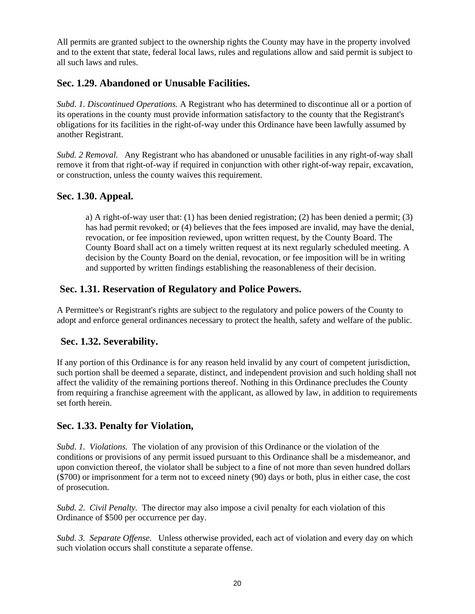All permits are granted subject to the ownership rights the County may have in the property involved and to the extent that state, federal local laws, rules and regulations allow and said permit is subject to all such laws and rules.

## **Sec. 1.29. Abandoned or Unusable Facilities.**

*Subd. 1. Discontinued Operations.* A Registrant who has determined to discontinue all or a portion of its operations in the county must provide information satisfactory to the county that the Registrant's obligations for its facilities in the right-of-way under this Ordinance have been lawfully assumed by another Registrant.

*Subd. 2 Removal.* Any Registrant who has abandoned or unusable facilities in any right-of-way shall remove it from that right-of-way if required in conjunction with other right-of-way repair, excavation, or construction, unless the county waives this requirement.

#### **Sec. 1.30. Appeal.**

a) A right-of-way user that: (1) has been denied registration; (2) has been denied a permit; (3) has had permit revoked; or (4) believes that the fees imposed are invalid, may have the denial, revocation, or fee imposition reviewed, upon written request, by the County Board. The County Board shall act on a timely written request at its next regularly scheduled meeting. A decision by the County Board on the denial, revocation, or fee imposition will be in writing and supported by written findings establishing the reasonableness of their decision.

#### **Sec. 1.31. Reservation of Regulatory and Police Powers.**

A Permittee's or Registrant's rights are subject to the regulatory and police powers of the County to adopt and enforce general ordinances necessary to protect the health, safety and welfare of the public.

#### **Sec. 1.32. Severability.**

If any portion of this Ordinance is for any reason held invalid by any court of competent jurisdiction, such portion shall be deemed a separate, distinct, and independent provision and such holding shall not affect the validity of the remaining portions thereof. Nothing in this Ordinance precludes the County from requiring a franchise agreement with the applicant, as allowed by law, in addition to requirements set forth herein.

#### **Sec. 1.33. Penalty for Violation,**

*Subd. 1. Violations.* The violation of any provision of this Ordinance or the violation of the conditions or provisions of any permit issued pursuant to this Ordinance shall be a misdemeanor, and upon conviction thereof, the violator shall be subject to a fine of not more than seven hundred dollars (\$700) or imprisonment for a term not to exceed ninety (90) days or both, plus in either case, the cost of prosecution.

*Subd. 2. Civil Penalty.* The director may also impose a civil penalty for each violation of this Ordinance of \$500 per occurrence per day.

*Subd. 3. Separate Offense.* Unless otherwise provided, each act of violation and every day on which such violation occurs shall constitute a separate offense.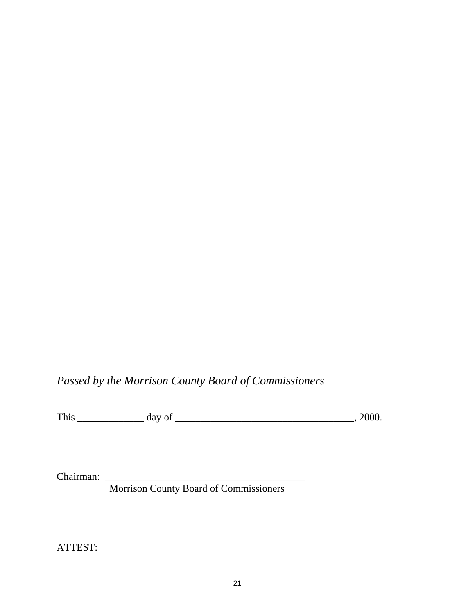# *Passed by the Morrison County Board of Commissioners*

This \_\_\_\_\_\_\_\_\_\_\_\_\_ day of \_\_\_\_\_\_\_\_\_\_\_\_\_\_\_\_\_\_\_\_\_\_\_\_\_\_\_\_\_\_\_\_\_\_\_, 2000.

Chairman: \_\_\_\_\_\_\_\_\_\_\_\_\_\_\_\_\_\_\_\_\_\_\_\_\_\_\_\_\_\_\_\_\_\_\_\_\_\_\_

Morrison County Board of Commissioners

ATTEST: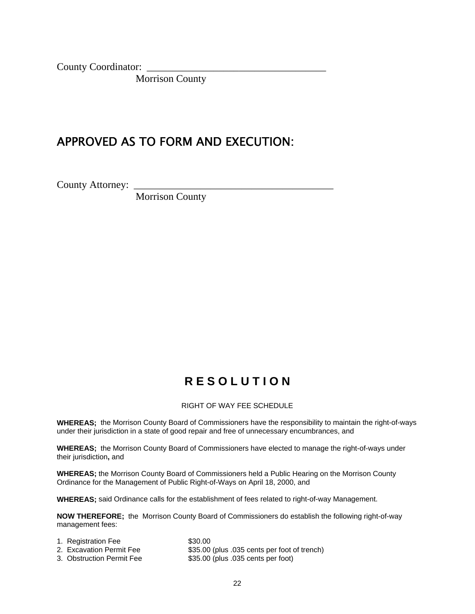County Coordinator:

Morrison County

# APPROVED AS TO FORM AND EXECUTION:

County Attorney:

Morrison County

# **R E S O L U T I O N**

#### RIGHT OF WAY FEE SCHEDULE

**WHEREAS;** the Morrison County Board of Commissioners have the responsibility to maintain the right-of-ways under their jurisdiction in a state of good repair and free of unnecessary encumbrances, and

**WHEREAS;** the Morrison County Board of Commissioners have elected to manage the right-of-ways under their jurisdiction**,** and

**WHEREAS;** the Morrison County Board of Commissioners held a Public Hearing on the Morrison County Ordinance for the Management of Public Right-of-Ways on April 18, 2000, and

**WHEREAS;** said Ordinance calls for the establishment of fees related to right-of-way Management.

**NOW THEREFORE;** the Morrison County Board of Commissioners do establish the following right-of-way management fees:

| 1. Registration Fee       | \$30.00                                      |
|---------------------------|----------------------------------------------|
| 2. Excavation Permit Fee  | \$35.00 (plus .035 cents per foot of trench) |
| 3. Obstruction Permit Fee | \$35.00 (plus .035 cents per foot)           |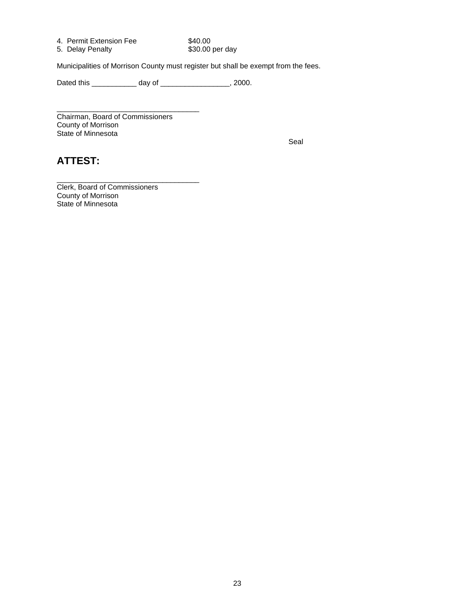| 4. Permit Extension Fee | \$40.00         |
|-------------------------|-----------------|
| 5. Delay Penalty        | \$30.00 per day |

Municipalities of Morrison County must register but shall be exempt from the fees.

Dated this \_\_\_\_\_\_\_\_\_\_\_\_\_ day of \_\_\_\_\_\_\_\_\_\_\_\_\_\_\_\_\_\_, 2000.

\_\_\_\_\_\_\_\_\_\_\_\_\_\_\_\_\_\_\_\_\_\_\_\_\_\_\_\_\_\_\_\_\_\_\_ Chairman, Board of Commissioners County of Morrison State of Minnesota

in the contract of the contract of the contract of the Seal Seal of the Seal of the Seal of the Seal

# **ATTEST:**

Clerk, Board of Commissioners County of Morrison State of Minnesota

\_\_\_\_\_\_\_\_\_\_\_\_\_\_\_\_\_\_\_\_\_\_\_\_\_\_\_\_\_\_\_\_\_\_\_